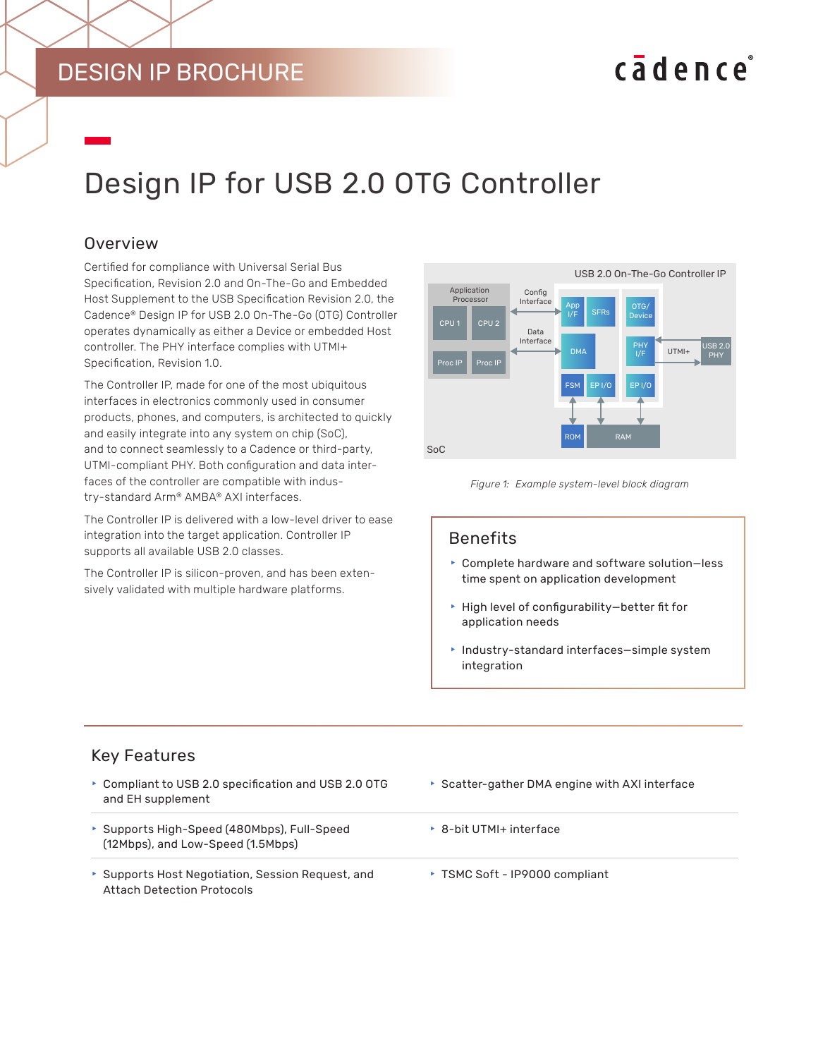# DESIGN IP BROCHURE

# cadence

# Design IP for USB 2.0 OTG Controller

# **Overview**

Certified for compliance with Universal Serial Bus Specification, Revision 2.0 and On-The-Go and Embedded Host Supplement to the USB Specification Revision 2.0, the Cadence® Design IP for USB 2.0 On-The-Go (OTG) Controller operates dynamically as either a Device or embedded Host controller. The PHY interface complies with UTMI+ Specification, Revision 1.0.

The Controller IP, made for one of the most ubiquitous interfaces in electronics commonly used in consumer products, phones, and computers, is architected to quickly and easily integrate into any system on chip (SoC), and to connect seamlessly to a Cadence or third-party, UTMI-compliant PHY. Both configuration and data interfaces of the controller are compatible with industry-standard Arm® AMBA® AXI interfaces.

The Controller IP is delivered with a low-level driver to ease integration into the target application. Controller IP supports all available USB 2.0 classes.

The Controller IP is silicon-proven, and has been extensively validated with multiple hardware platforms.





#### Benefits

- $\triangleright$  Complete hardware and software solution-less time spent on application development
- $\blacktriangleright$  High level of configurability-better fit for application needs
- $\blacktriangleright$  Industry-standard interfaces-simple system integration

# Key Features

- ▶ Compliant to USB 2.0 specification and USB 2.0 OTG and EH supplement
- ▶ Supports High-Speed (480Mbps), Full-Speed (12Mbps), and Low-Speed (1.5Mbps)
- Supports Host Negotiation, Session Request, and Attach Detection Protocols
- $\triangleright$  Scatter-gather DMA engine with AXI interface
- ▶ 8-bit UTMI+ interface
- ▶ TSMC Soft IP9000 compliant